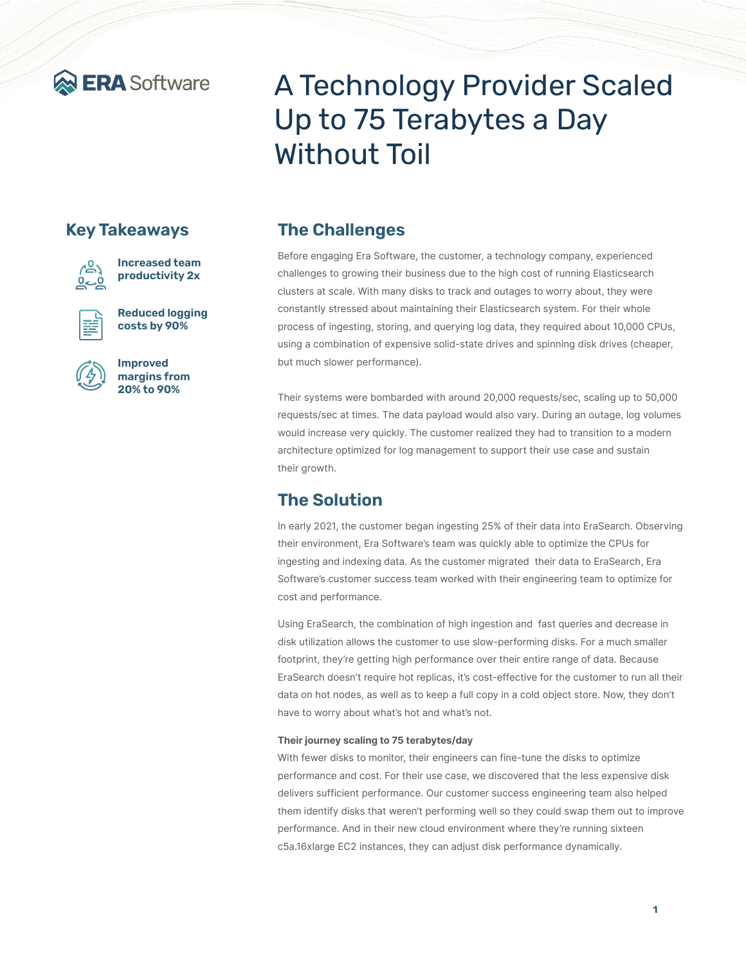

## **Key Takeaways**



**Increased team productivity 2x**



**Reduced logging costs by 90%**



**Improved margins from 20% to 90%**

# A Technology Provider Scaled Up to 75 Terabytes a Day Without Toil

# **The Challenges**

Before engaging Era Software, the customer, a technology company, experienced challenges to growing their business due to the high cost of running Elasticsearch clusters at scale. With many disks to track and outages to worry about, they were constantly stressed about maintaining their Elasticsearch system. For their whole process of ingesting, storing, and querying log data, they required about 10,000 CPUs, using a combination of expensive solid-state drives and spinning disk drives (cheaper, but much slower performance).

Their systems were bombarded with around 20,000 requests/sec, scaling up to 50,000 requests/sec at times. The data payload would also vary. During an outage, log volumes would increase very quickly. The customer realized they had to transition to a modern architecture optimized for log management to support their use case and sustain their growth.

# **The Solution**

In early 2021, the customer began ingesting 25% of their data into EraSearch. Observing their environment, Era Software's team was quickly able to optimize the CPUs for ingesting and indexing data. As the customer migrated their data to EraSearch, Era Software's customer success team worked with their engineering team to optimize for cost and performance.

Using EraSearch, the combination of high ingestion and fast queries and decrease in disk utilization allows the customer to use slow-performing disks. For a much smaller footprint, they're getting high performance over their entire range of data. Because EraSearch doesn't require hot replicas, it's cost-effective for the customer to run all their data on hot nodes, as well as to keep a full copy in a cold object store. Now, they don't have to worry about what's hot and what's not.

#### **Their journey scaling to 75 terabytes/day**

With fewer disks to monitor, their engineers can fine-tune the disks to optimize performance and cost. For their use case, we discovered that the less expensive disk delivers sufficient performance. Our customer success engineering team also helped them identify disks that weren't performing well so they could swap them out to improve performance. And in their new cloud environment where they're running sixteen c5a.16xlarge EC2 instances, they can adjust disk performance dynamically.